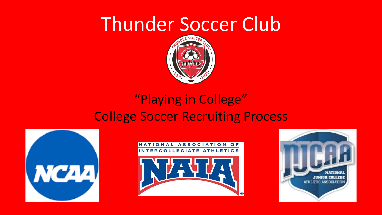

### "Playing in College" College Soccer Recruiting Process





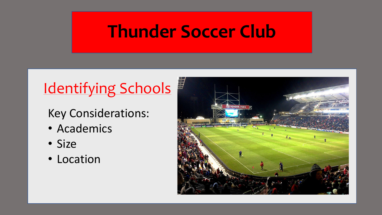### Identifying Schools

#### Key Considerations:

- Academics
- Size
- Location

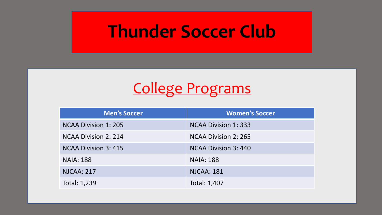### College Programs

| <b>Men's Soccer</b>         | <b>Women's Soccer</b>       |
|-----------------------------|-----------------------------|
| <b>NCAA Division 1: 205</b> | <b>NCAA Division 1: 333</b> |
| <b>NCAA Division 2: 214</b> | NCAA Division 2: 265        |
| <b>NCAA Division 3: 415</b> | NCAA Division 3:440         |
| <b>NAIA: 188</b>            | <b>NAIA: 188</b>            |
| <b>NJCAA: 217</b>           | <b>NJCAA: 181</b>           |
| Total: 1,239                | Total: 1,407                |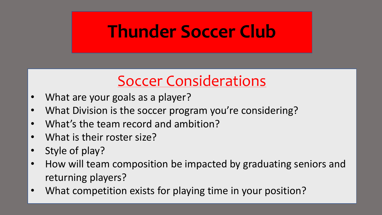### Soccer Considerations

- What are your goals as a player?
- What Division is the soccer program you're considering?
- What's the team record and ambition?
- What is their roster size?
- Style of play?
- How will team composition be impacted by graduating seniors and returning players?
- What competition exists for playing time in your position?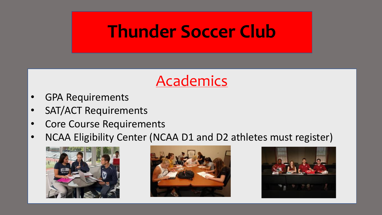### Academics

- GPA Requirements
- SAT/ACT Requirements
- Core Course Requirements
- NCAA Eligibility Center (NCAA D1 and D2 athletes must register)





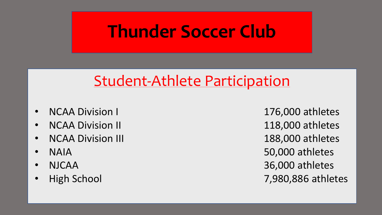### Student-Athlete Participation

- 
- 
- NCAA Division III 188,000 athletes
- 
- 
- 

• NCAA Division I 176,000 athletes • NCAA Division II 118,000 athletes • NAIA 50,000 athletes • NJCAA 36,000 athletes • High School 7,980,886 athletes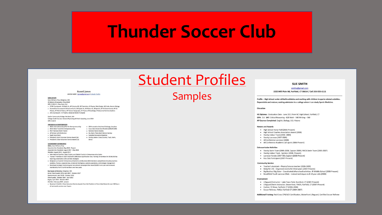### Student Profiles

#### **Russell James** 148-953-6299 | riames@gmail.com | Linkedin Profile

#### **EDUCATION**

Hans Williams Prep, Bridgeton, WA IB Diploma (Graduation: May 2019)

- 
- GPA: 3.93/4.0 | Class Rank: 3rd
- . STEM Coursework: IB Math HL, AP Calculus BC, AP Chemistry, IB Physics, Web Design, MS Suite, Honors Biology
- . Humanities Coursework: IB Economics HL, IB English HL, IB History HL, IB Spanish, AP US Government, AP US History, AP World History, AP Human Geography, IB Theory of Knowledge, Professional Communications

· CBE Innovative Solutions Challenge, 1st place

. Mu Alpha Theta Math Honors Society

· Sociedad Honoraria Hispánica

- National Honors Society

Dance

Cora-Cola Scholar Semifinalist (2.000/97.000)

. Arts Coursework: IB Theatre, Advanced Band (Trumpet)

Speller Community College, Red Bank, WA

College-Credit Courses: General Psychology & Public Speaking, June 2018 GPA: 4.0/4.0

#### **AWARDS & ACHIEVEMENTS**

- . DFCA International Qualifier for Entrepreneurship
- DECA State Finalist for Entrepreneurship
- . PSAT National Merit Finalist
- . AP Scholar with Distinction
- · Eagle Scout Rank
- · President's Gold Volunteer Service Award (2x) · Varsity Letters- Cross Country, Track, Swim,
- · President's Silver Volunteer Service Award (1x)

#### **LEADERSHIP EXPERIENCE**

- **DECA**, Hans Williams Prep Executive Vice President, May 2018 - Present
- Associate Vice President, August 2017 May 2018
- Member, August 2015 August 2017
- . International Qualifier, State Finalist, and District Finalist in Entrepreneurship Series
- . Trained 7 members in 2017-2018 with 100% State Qualification rate; Training 15 members for 2018-2019 by teaching presentation skills and test strategies
- . Designed curricula for Entrepreneurship Series and Business Administration competitions including business
- analytics, finance, corporate law, emotional intelligence, systems operations, and strategic management . Developed strategic fundraising and recruitment campaigns that raised \$1200 in one year and increased
- membership from 6 to 40 members over two years

#### Boy Scouts of America, Bridgeton, WA

Senior Patrol Leader (SPL), April 2017 - October 2017 Quartermaster, April 2016 - October 2016 Patrol Leader, October 2014 - April 2015 Bugler, April 2014 - October 2014 Member, February 2009 - present . Received 2 Gold & 1 Silver Volunteer Service Awards from the President of the United States for over 500 hours of community service over 4 years

#### Samples

#### **SUE SMITH**

smiths@gmail.com

2222 Mill Plain Rd, Fairfield, CT 06614 / Cell 203-555-1111

Profile - High School senior skilled in athletics and working with children in sports-related activities. Dependable and mature; seeking admission to a college where I can study Sports Medicine.

#### **Education**

HS Diploma: Graduation Date - June 2011 from NC High School, Fairfield, CT GPA: 3.6 SAT: Critical Reasoning - 620 Math - 540 Writing - 560 AP Courses Completed: English, Biology, U.S. History

#### **Honors and Awards**

- · High School Honor Roll (2006-Present)
- · High School Coaches Association Award (2008)
- Varsity Indoor Track (2008-2009)
- Varsity Lacrosse (2007-2009)
- · All Conference Lacrosse (2008)
- · All Conference Academic (all sports 2006-Present)

#### **Extracurricular Activities**

- · Varsity Swim Team (2005-2008, Captain 2009); YMCA Swim Team (2005-2007)
- Varsity Indoor Track Sprinter (2008- Present)
- Lacrosse Varsity (2007-09); Captain (2008-Present)
- Key Club Participant (2007-Present)

#### **Community Service**

- · Teacher's Assistant Physics/Science teacher (2008-2009)
- Relay for Life Organized events for three years (2007-Present)
- Big Brother/ Big Sister Coordinated afterschool activities- JR Middle School (2008-Present)
- Brookfield Youth Lacrosse Clinic trained techniques to 8-10 year olds (2008)

#### Employment

- Lifeguard/Instructor Lake Town Park, Stamford, CT (2007-Present)
- Lifeguard/Swim Instructor, Green View, YMCA, Fairfield, CT (2007-Present)
- · Cashier, TJ Maxx, Fairfield, CT (2006-2008)
- · Soccer Referee, YMCA, Fairfield CT (2004-2007)

Additional Training: Red Cross CPR/AED Certification, Waterfront Lifeguard, Certified Soccer Referee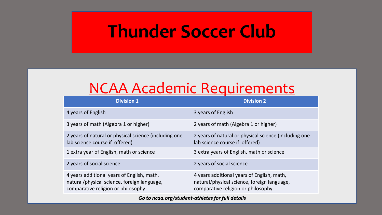### NCAA Academic Requirements

| <b>Division 1</b>                                                                                                               | <b>Division 2</b>                                                                                                               |
|---------------------------------------------------------------------------------------------------------------------------------|---------------------------------------------------------------------------------------------------------------------------------|
| 4 years of English                                                                                                              | 3 years of English                                                                                                              |
| 3 years of math (Algebra 1 or higher)                                                                                           | 2 years of math (Algebra 1 or higher)                                                                                           |
| 2 years of natural or physical science (including one<br>lab science course if offered)                                         | 2 years of natural or physical science (including one<br>lab science course if offered)                                         |
| 1 extra year of English, math or science                                                                                        | 3 extra years of English, math or science                                                                                       |
| 2 years of social science                                                                                                       | 2 years of social science                                                                                                       |
| 4 years additional years of English, math,<br>natural/physical science, foreign language,<br>comparative religion or philosophy | 4 years additional years of English, math,<br>natural/physical science, foreign language,<br>comparative religion or philosophy |

*Go to ncaa.org/student-athletes for full details*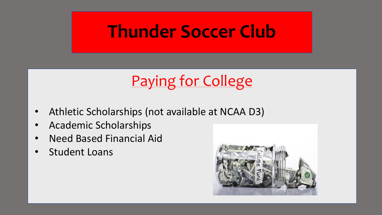## Paying for College

- Athletic Scholarships (not available at NCAA D3)
- Academic Scholarships
- Need Based Financial Aid
- Student Loans

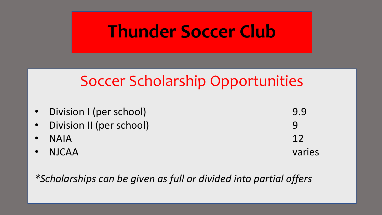### Soccer Scholarship Opportunities

| • Division I (per school)  | 9.9    |
|----------------------------|--------|
| • Division II (per school) | Q      |
| $\bullet$ NAIA             | 12     |
| $\cdot$ NJCAA              | varies |

*\*Scholarships can be given as full or divided into partial offers*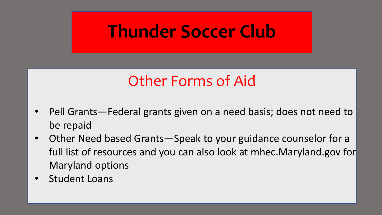### Other Forms of Aid

- Pell Grants—Federal grants given on a need basis; does not need to be repaid
- Other Need based Grants—Speak to your guidance counselor for a full list of resources and you can also look at mhec.Maryland.gov for Maryland options
- Student Loans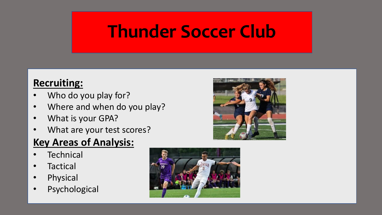#### **Recruiting:**

- Who do you play for?
- Where and when do you play?
- What is your GPA?
- What are your test scores?

#### **Key Areas of Analysis:**

- **Technical**
- Tactical
- Physical
- Psychological



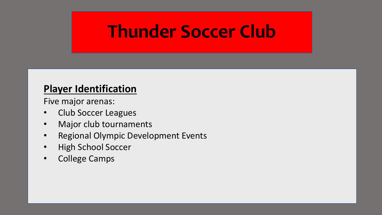#### **Player Identification**

Five major arenas:

- Club Soccer Leagues
- Major club tournaments
- Regional Olympic Development Events
- High School Soccer
- College Camps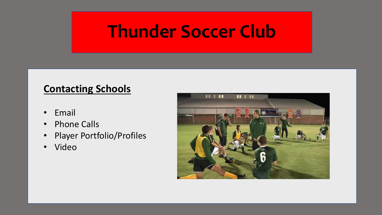#### **Contacting Schools**

- Email
- Phone Calls
- Player Portfolio/Profiles
- Video

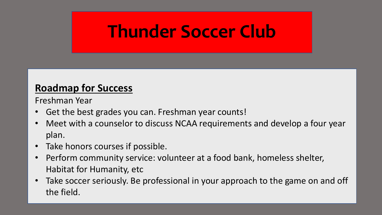#### **Roadmap for Success**

Freshman Year

- Get the best grades you can. Freshman year counts!
- Meet with a counselor to discuss NCAA requirements and develop a four year plan.
- Take honors courses if possible.
- Perform community service: volunteer at a food bank, homeless shelter, Habitat for Humanity, etc
- Take soccer seriously. Be professional in your approach to the game on and off the field.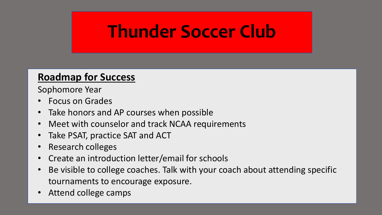#### **Roadmap for Success**

Sophomore Year

- Focus on Grades
- Take honors and AP courses when possible
- Meet with counselor and track NCAA requirements
- Take PSAT, practice SAT and ACT
- Research colleges
- Create an introduction letter/email for schools
- Be visible to college coaches. Talk with your coach about attending specific tournaments to encourage exposure.
- Attend college camps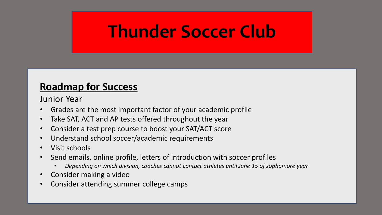#### **Roadmap for Success**

Junior Year

- Grades are the most important factor of your academic profile
- Take SAT, ACT and AP tests offered throughout the year
- Consider a test prep course to boost your SAT/ACT score
- Understand school soccer/academic requirements
- Visit schools
- Send emails, online profile, letters of introduction with soccer profiles
	- *Depending on which division, coaches cannot contact athletes until June 15 of sophomore year*
- Consider making a video
- Consider attending summer college camps